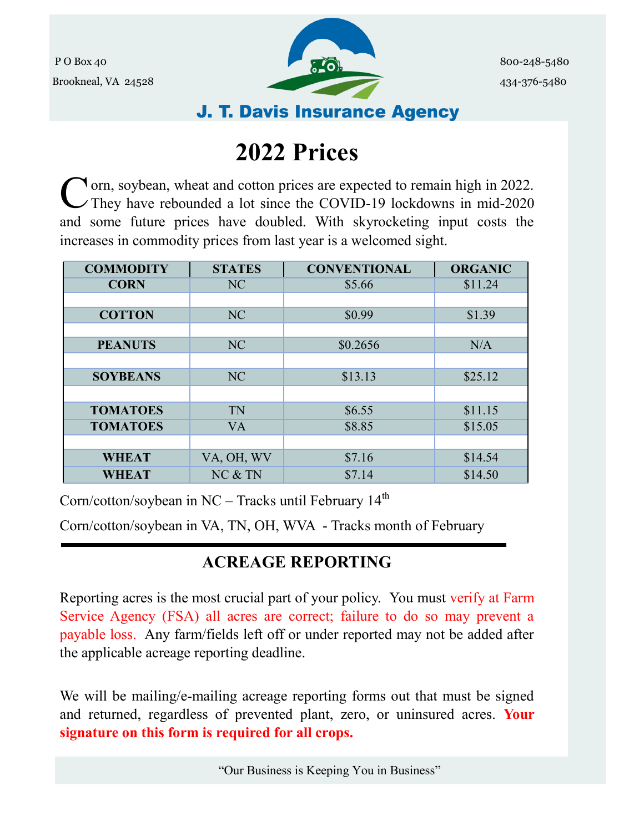

## **J. T. Davis Insurance Agency**

# **2022 Prices**

C orn, soybean, wheat and cotton prices are expected to remain high in 2022.<br>They have rebounded a lot since the COVID-19 lockdowns in mid-2020 They have rebounded a lot since the COVID-19 lockdowns in mid-2020 and some future prices have doubled. With skyrocketing input costs the increases in commodity prices from last year is a welcomed sight.

| <b>COMMODITY</b> | <b>STATES</b> | <b>CONVENTIONAL</b> | <b>ORGANIC</b> |
|------------------|---------------|---------------------|----------------|
| <b>CORN</b>      | NC            | \$5.66              | \$11.24        |
|                  |               |                     |                |
| <b>COTTON</b>    | NC            | \$0.99              | \$1.39         |
|                  |               |                     |                |
| <b>PEANUTS</b>   | NC            | \$0.2656            | N/A            |
|                  |               |                     |                |
| <b>SOYBEANS</b>  | <b>NC</b>     | \$13.13             | \$25.12        |
|                  |               |                     |                |
| <b>TOMATOES</b>  | TN            | \$6.55              | \$11.15        |
| <b>TOMATOES</b>  | <b>VA</b>     | \$8.85              | \$15.05        |
|                  |               |                     |                |
| <b>WHEAT</b>     | VA, OH, WV    | \$7.16              | \$14.54        |
| <b>WHEAT</b>     | NC & TN       | \$7.14              | \$14.50        |

Corn/cotton/soybean in  $NC -$  Tracks until February 14<sup>th</sup>

Corn/cotton/soybean in VA, TN, OH, WVA - Tracks month of February

## **ACREAGE REPORTING**

Reporting acres is the most crucial part of your policy. You must verify at Farm Service Agency (FSA) all acres are correct; failure to do so may prevent a payable loss. Any farm/fields left off or under reported may not be added after the applicable acreage reporting deadline.

We will be mailing/e-mailing acreage reporting forms out that must be signed and returned, regardless of prevented plant, zero, or uninsured acres. **Your signature on this form is required for all crops.**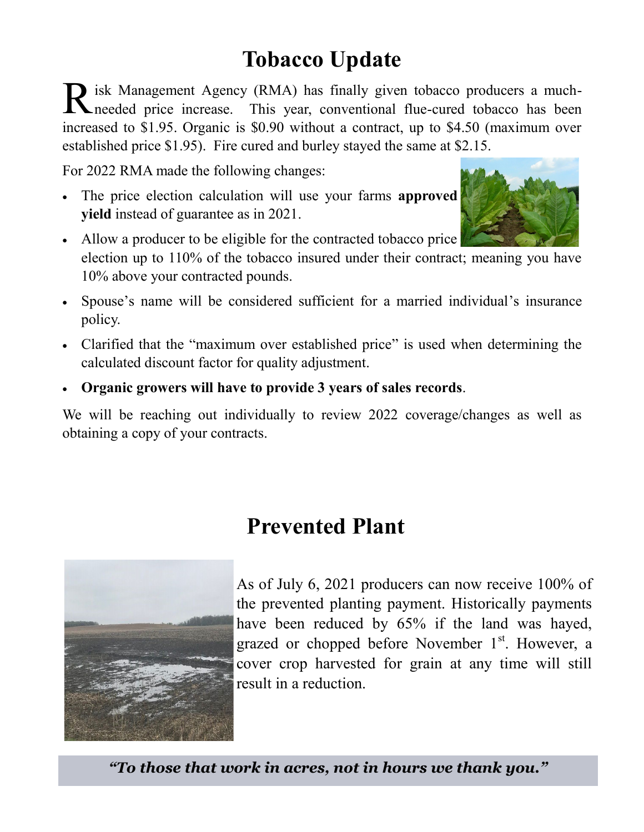## **Tobacco Update**

R isk Management Agency (RMA) has finally given tobacco producers a much-<br>Reflected price increase. This year, conventional flue-cured tobacco has been isk Management Agency (RMA) has finally given tobacco producers a muchincreased to \$1.95. Organic is \$0.90 without a contract, up to \$4.50 (maximum over established price \$1.95). Fire cured and burley stayed the same at \$2.15.

For 2022 RMA made the following changes:

• The price election calculation will use your farms **approved yield** instead of guarantee as in 2021.



- Allow a producer to be eligible for the contracted tobacco price election up to 110% of the tobacco insured under their contract; meaning you have 10% above your contracted pounds.
- Spouse's name will be considered sufficient for a married individual's insurance policy.
- Clarified that the "maximum over established price" is used when determining the calculated discount factor for quality adjustment.
- **Organic growers will have to provide 3 years of sales records**.

We will be reaching out individually to review 2022 coverage/changes as well as obtaining a copy of your contracts.

## **Prevented Plant**



As of July 6, 2021 producers can now receive 100% of the prevented planting payment. Historically payments have been reduced by 65% if the land was hayed, grazed or chopped before November 1<sup>st</sup>. However, a cover crop harvested for grain at any time will still result in a reduction.

*"To those that work in acres, not in hours we thank you."*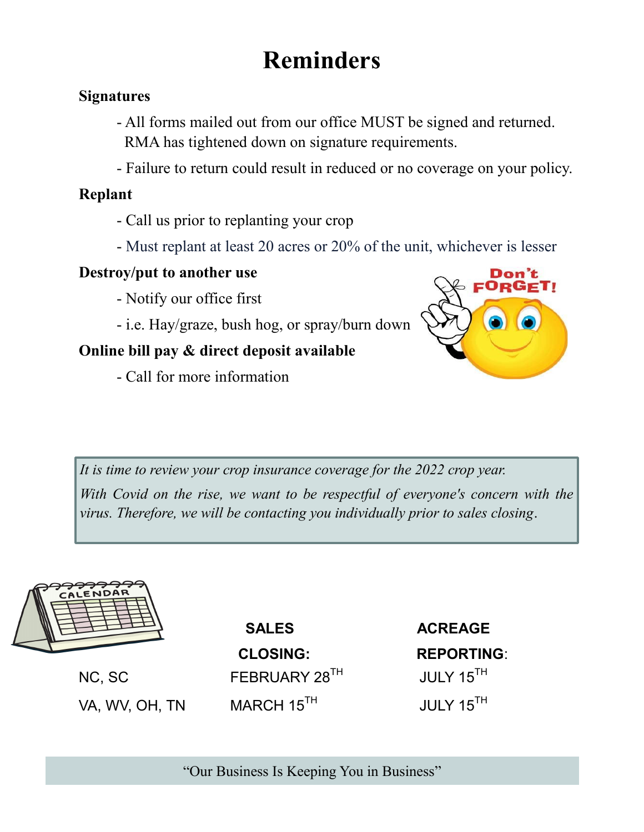# **Reminders**

#### **Signatures**

- All forms mailed out from our office MUST be signed and returned. RMA has tightened down on signature requirements.
- Failure to return could result in reduced or no coverage on your policy.

#### **Replant**

- Call us prior to replanting your crop
- Must replant at least 20 acres or 20% of the unit, whichever is lesser

#### **Destroy/put to another use**

- Notify our office first
- i.e. Hay/graze, bush hog, or spray/burn down

### **Online bill pay & direct deposit available**

- Call for more information



*It is time to review your crop insurance coverage for the 2022 crop year.* 

*With Covid on the rise, we want to be respectful of everyone's concern with the virus. Therefore, we will be contacting you individually prior to sales closing*.



VA, WV, OH, TN MARCH 15<sup>TH</sup> JULY 15<sup>TH</sup>

SALES ACREAGE  **CLOSING: REPORTING**: NC, SC FEBRUARY 28<sup>TH</sup> JULY 15<sup>TH</sup>

"Our Business Is Keeping You in Business"